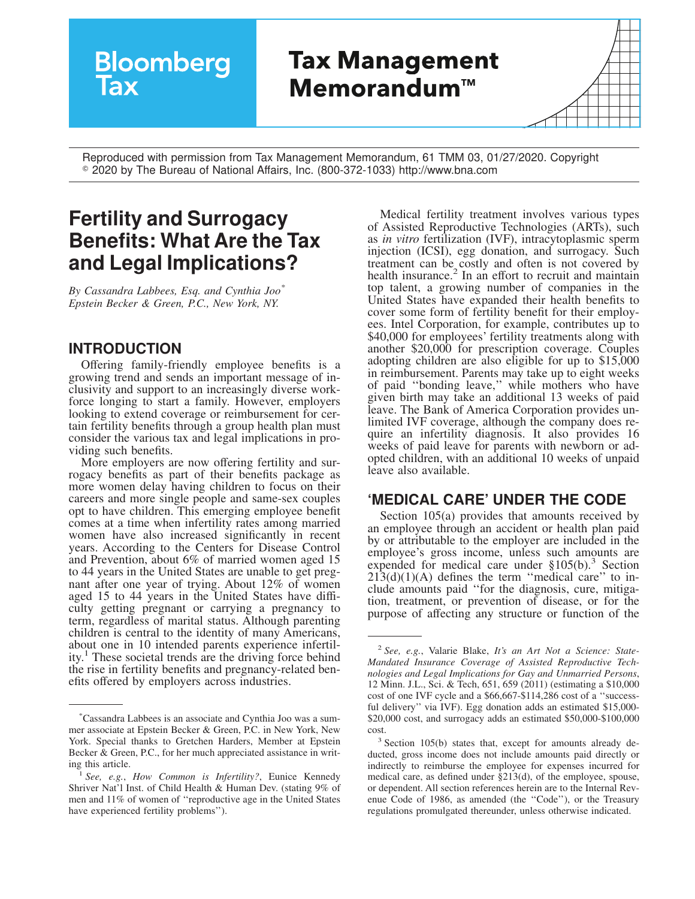# **Bloomberg Tax Management MemorandumTM**

Reproduced with permission from Tax Management Memorandum, 61 TMM 03, 01/27/2020. Copyright R 2020 by The Bureau of National Affairs, Inc. (800-372-1033) http://www.bna.com

## **Fertility and Surrogacy Benefits: What Are the Tax and Legal Implications?**

*By Cassandra Labbees, Esq. and Cynthia Joo\* Epstein Becker & Green, P.C., New York, NY.*

#### **INTRODUCTION**

Offering family-friendly employee benefits is a growing trend and sends an important message of inclusivity and support to an increasingly diverse workforce longing to start a family. However, employers looking to extend coverage or reimbursement for certain fertility benefits through a group health plan must consider the various tax and legal implications in providing such benefits.

More employers are now offering fertility and surrogacy benefits as part of their benefits package as more women delay having children to focus on their careers and more single people and same-sex couples opt to have children. This emerging employee benefit comes at a time when infertility rates among married women have also increased significantly in recent years. According to the Centers for Disease Control and Prevention, about 6% of married women aged 15 to 44 years in the United States are unable to get pregnant after one year of trying. About 12% of women aged 15 to 44 years in the United States have difficulty getting pregnant or carrying a pregnancy to term, regardless of marital status. Although parenting children is central to the identity of many Americans, about one in 10 intended parents experience infertility.<sup>1</sup> These societal trends are the driving force behind the rise in fertility benefits and pregnancy-related benefits offered by employers across industries.

Medical fertility treatment involves various types of Assisted Reproductive Technologies (ARTs), such as *in vitro* fertilization (IVF), intracytoplasmic sperm injection (ICSI), egg donation, and surrogacy. Such treatment can be costly and often is not covered by health insurance.<sup>2</sup> In an effort to recruit and maintain top talent, a growing number of companies in the United States have expanded their health benefits to cover some form of fertility benefit for their employees. Intel Corporation, for example, contributes up to \$40,000 for employees' fertility treatments along with another \$20,000 for prescription coverage. Couples adopting children are also eligible for up to \$15,000 in reimbursement. Parents may take up to eight weeks of paid ''bonding leave,'' while mothers who have given birth may take an additional 13 weeks of paid leave. The Bank of America Corporation provides unlimited IVF coverage, although the company does require an infertility diagnosis. It also provides 16 weeks of paid leave for parents with newborn or adopted children, with an additional 10 weeks of unpaid leave also available.

#### **'MEDICAL CARE' UNDER THE CODE**

Section 105(a) provides that amounts received by an employee through an accident or health plan paid by or attributable to the employer are included in the employee's gross income, unless such amounts are expended for medical care under  $$105(b).$ <sup>3</sup> Section  $21\overline{3}$ (d)(1)(A) defines the term "medical care" to include amounts paid ''for the diagnosis, cure, mitigation, treatment, or prevention of disease, or for the purpose of affecting any structure or function of the

<sup>\*</sup>Cassandra Labbees is an associate and Cynthia Joo was a summer associate at Epstein Becker & Green, P.C. in New York, New York. Special thanks to Gretchen Harders, Member at Epstein Becker & Green, P.C., for her much appreciated assistance in writing this article.

<sup>1</sup> *See, e.g.*, *[How Common is Infertility?](https://www.nichd.nih.gov/health/topics/infertility/conditioninfo/common)*, Eunice Kennedy Shriver Nat'l Inst. of Child Health & Human Dev. (stating 9% of men and 11% of women of ''reproductive age in the United States have experienced fertility problems'').

<sup>2</sup> *See, e.g.*, Valarie Blake, *It's an Art Not a Science: State-Mandated Insurance Coverage of Assisted Reproductive Technologies and Legal Implications for Gay and Unmarried Persons*, 12 Minn. J.L., Sci. & Tech, 651, 659 (2011) (estimating a \$10,000 cost of one IVF cycle and a \$66,667-\$114,286 cost of a ''successful delivery'' via IVF). Egg donation adds an estimated \$15,000- \$20,000 cost, and surrogacy adds an estimated \$50,000-\$100,000 cost.

<sup>&</sup>lt;sup>3</sup> Section 105(b) states that, except for amounts already deducted, gross income does not include amounts paid directly or indirectly to reimburse the employee for expenses incurred for medical care, as defined under §213(d), of the employee, spouse, or dependent. All section references herein are to the Internal Revenue Code of 1986, as amended (the ''Code''), or the Treasury regulations promulgated thereunder, unless otherwise indicated.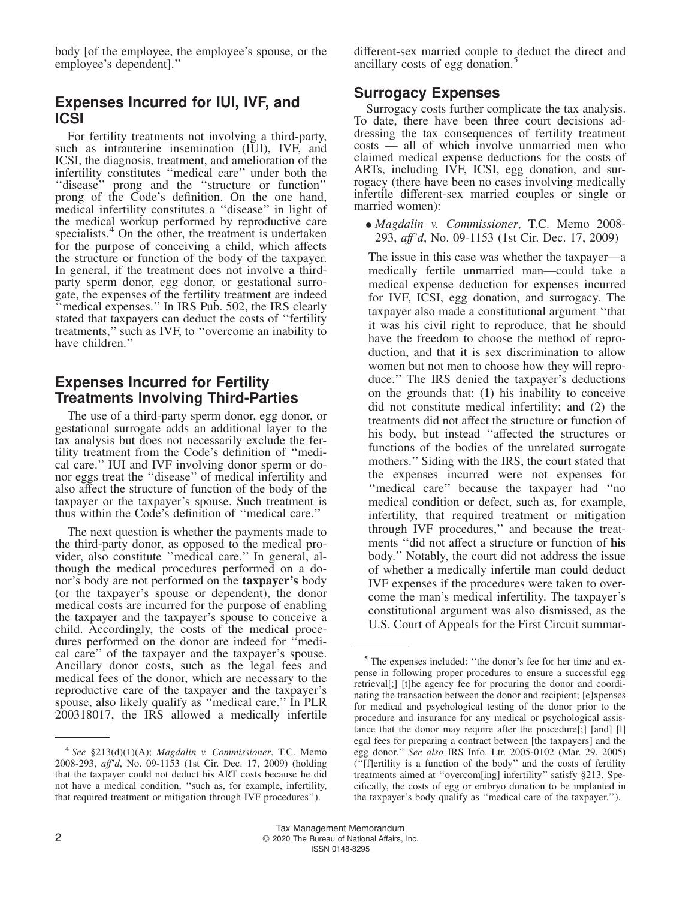body [of the employee, the employee's spouse, or the employee's dependent].''

#### **Expenses Incurred for IUI, IVF, and ICSI**

For fertility treatments not involving a third-party, such as intrauterine insemination (IUI), IVF, and ICSI, the diagnosis, treatment, and amelioration of the infertility constitutes ''medical care'' under both the ''disease'' prong and the ''structure or function'' prong of the Code's definition. On the one hand, medical infertility constitutes a ''disease'' in light of the medical workup performed by reproductive care specialists.<sup>4</sup> On the other, the treatment is undertaken for the purpose of conceiving a child, which affects the structure or function of the body of the taxpayer. In general, if the treatment does not involve a thirdparty sperm donor, egg donor, or gestational surrogate, the expenses of the fertility treatment are indeed "medical expenses." In IRS Pub. 502, the IRS clearly stated that taxpayers can deduct the costs of ''fertility treatments,'' such as IVF, to ''overcome an inability to have children.''

#### **Expenses Incurred for Fertility Treatments Involving Third-Parties**

The use of a third-party sperm donor, egg donor, or gestational surrogate adds an additional layer to the tax analysis but does not necessarily exclude the fertility treatment from the Code's definition of ''medical care.'' IUI and IVF involving donor sperm or donor eggs treat the ''disease'' of medical infertility and also affect the structure of function of the body of the taxpayer or the taxpayer's spouse. Such treatment is thus within the Code's definition of ''medical care.''

The next question is whether the payments made to the third-party donor, as opposed to the medical provider, also constitute ''medical care.'' In general, although the medical procedures performed on a donor's body are not performed on the **taxpayer's** body (or the taxpayer's spouse or dependent), the donor medical costs are incurred for the purpose of enabling the taxpayer and the taxpayer's spouse to conceive a child. Accordingly, the costs of the medical procedures performed on the donor are indeed for ''medical care'' of the taxpayer and the taxpayer's spouse. Ancillary donor costs, such as the legal fees and medical fees of the donor, which are necessary to the reproductive care of the taxpayer and the taxpayer's spouse, also likely qualify as ''medical care.'' In PLR 200318017, the IRS allowed a medically infertile

different-sex married couple to deduct the direct and ancillary costs of egg donation.<sup>5</sup>

#### **Surrogacy Expenses**

Surrogacy costs further complicate the tax analysis. To date, there have been three court decisions addressing the tax consequences of fertility treatment costs — all of which involve unmarried men who claimed medical expense deductions for the costs of ARTs, including IVF, ICSI, egg donation, and surrogacy (there have been no cases involving medically infertile different-sex married couples or single or married women):

• *Magdalin v. Commissioner*, T.C. Memo 2008- 293, *aff'd*, [No. 09-1153](https://aboutblaw.com/NUQ) (1st Cir. Dec. 17, 2009)

The issue in this case was whether the taxpayer—a medically fertile unmarried man—could take a medical expense deduction for expenses incurred for IVF, ICSI, egg donation, and surrogacy. The taxpayer also made a constitutional argument ''that it was his civil right to reproduce, that he should have the freedom to choose the method of reproduction, and that it is sex discrimination to allow women but not men to choose how they will reproduce.'' The IRS denied the taxpayer's deductions on the grounds that: (1) his inability to conceive did not constitute medical infertility; and (2) the treatments did not affect the structure or function of his body, but instead ''affected the structures or functions of the bodies of the unrelated surrogate mothers.'' Siding with the IRS, the court stated that the expenses incurred were not expenses for ''medical care'' because the taxpayer had ''no medical condition or defect, such as, for example, infertility, that required treatment or mitigation through IVF procedures,'' and because the treatments ''did not affect a structure or function of **his** body.'' Notably, the court did not address the issue of whether a medically infertile man could deduct IVF expenses if the procedures were taken to overcome the man's medical infertility. The taxpayer's constitutional argument was also dismissed, as the U.S. Court of Appeals for the First Circuit summar-

<sup>4</sup> *See* §213(d)(1)(A); *Magdalin v. Commissioner*, T.C. Memo 2008-293, *aff'd*, [No. 09-1153](https://aboutblaw.com/NUQ) (1st Cir. Dec. 17, 2009) (holding that the taxpayer could not deduct his ART costs because he did not have a medical condition, ''such as, for example, infertility, that required treatment or mitigation through IVF procedures'').

<sup>5</sup> The expenses included: ''the donor's fee for her time and expense in following proper procedures to ensure a successful egg retrieval[;] [t]he agency fee for procuring the donor and coordinating the transaction between the donor and recipient; [e]xpenses for medical and psychological testing of the donor prior to the procedure and insurance for any medical or psychological assistance that the donor may require after the procedure[;] [and] [l] egal fees for preparing a contract between [the taxpayers] and the egg donor.'' *See also* IRS Info. Ltr. 2005-0102 (Mar. 29, 2005) (''[f]ertility is a function of the body'' and the costs of fertility treatments aimed at ''overcom[ing] infertility'' satisfy §213. Specifically, the costs of egg or embryo donation to be implanted in the taxpayer's body qualify as ''medical care of the taxpayer.'').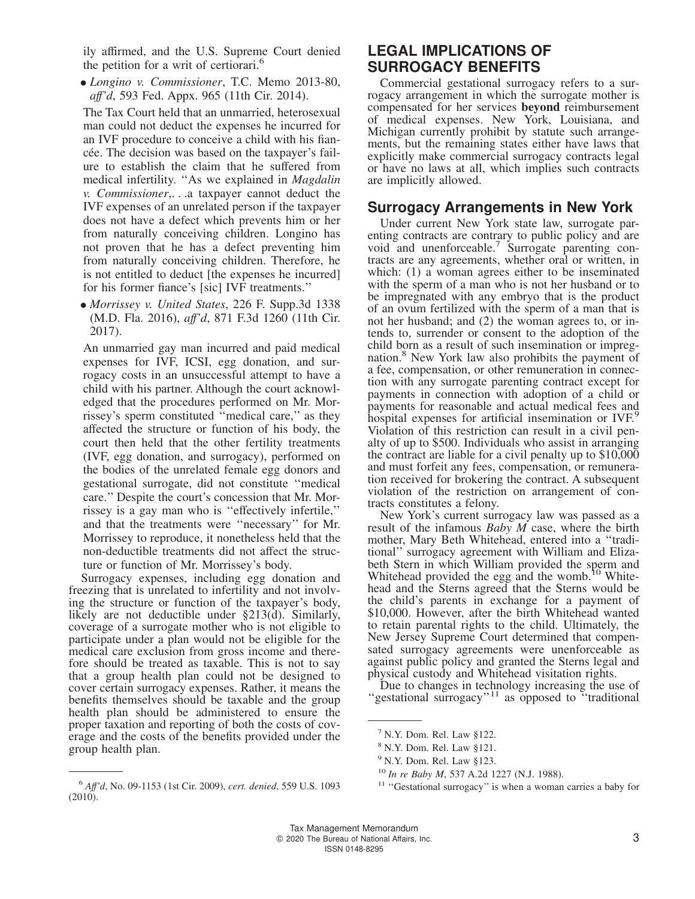ily affirmed, and the U.S. Supreme Court denied the petition for a writ of certiorari.<sup>6</sup>

• *Longino v. Commissioner*, T.C. Memo 2013-80, *aff'd*, 593 Fed. Appx. 965 (11th Cir. 2014).

The Tax Court held that an unmarried, heterosexual man could not deduct the expenses he incurred for an IVF procedure to conceive a child with his fiancée. The decision was based on the taxpayer's failure to establish the claim that he suffered from medical infertility. ''As we explained in *Magdalin v. Commissioner*,. . .a taxpayer cannot deduct the IVF expenses of an unrelated person if the taxpayer does not have a defect which prevents him or her from naturally conceiving children. Longino has not proven that he has a defect preventing him from naturally conceiving children. Therefore, he is not entitled to deduct [the expenses he incurred] for his former fiance's [sic] IVF treatments.''

• *Morrissey v. United States*, 226 F. Supp.3d 1338 (M.D. Fla. 2016), *aff'd*, 871 F.3d 1260 (11th Cir. 2017).

An unmarried gay man incurred and paid medical expenses for IVF, ICSI, egg donation, and surrogacy costs in an unsuccessful attempt to have a child with his partner. Although the court acknowledged that the procedures performed on Mr. Morrissey's sperm constituted ''medical care,'' as they affected the structure or function of his body, the court then held that the other fertility treatments (IVF, egg donation, and surrogacy), performed on the bodies of the unrelated female egg donors and gestational surrogate, did not constitute ''medical care.'' Despite the court's concession that Mr. Morrissey is a gay man who is ''effectively infertile,'' and that the treatments were ''necessary'' for Mr. Morrissey to reproduce, it nonetheless held that the non-deductible treatments did not affect the structure or function of Mr. Morrissey's body.

Surrogacy expenses, including egg donation and freezing that is unrelated to infertility and not involving the structure or function of the taxpayer's body, likely are not deductible under §213(d). Similarly, coverage of a surrogate mother who is not eligible to participate under a plan would not be eligible for the medical care exclusion from gross income and therefore should be treated as taxable. This is not to say that a group health plan could not be designed to cover certain surrogacy expenses. Rather, it means the benefits themselves should be taxable and the group health plan should be administered to ensure the proper taxation and reporting of both the costs of coverage and the costs of the benefits provided under the group health plan.

### **LEGAL IMPLICATIONS OF SURROGACY BENEFITS**

Commercial gestational surrogacy refers to a surrogacy arrangement in which the surrogate mother is compensated for her services **beyond** reimbursement of medical expenses. New York, Louisiana, and Michigan currently prohibit by statute such arrangements, but the remaining states either have laws that explicitly make commercial surrogacy contracts legal or have no laws at all, which implies such contracts are implicitly allowed.

#### **Surrogacy Arrangements in New York**

Under current New York state law, surrogate parenting contracts are contrary to public policy and are void and unenforceable.<sup>7</sup> Surrogate parenting contracts are any agreements, whether oral or written, in which: (1) a woman agrees either to be inseminated with the sperm of a man who is not her husband or to be impregnated with any embryo that is the product of an ovum fertilized with the sperm of a man that is not her husband; and (2) the woman agrees to, or intends to, surrender or consent to the adoption of the child born as a result of such insemination or impregnation.<sup>8</sup> New York law also prohibits the payment of a fee, compensation, or other remuneration in connection with any surrogate parenting contract except for payments in connection with adoption of a child or payments for reasonable and actual medical fees and hospital expenses for artificial insemination or IVF.<sup>9</sup> Violation of this restriction can result in a civil penalty of up to \$500. Individuals who assist in arranging the contract are liable for a civil penalty up to \$10,000 and must forfeit any fees, compensation, or remuneration received for brokering the contract. A subsequent violation of the restriction on arrangement of contracts constitutes a felony.

New York's current surrogacy law was passed as a result of the infamous *Baby M* case, where the birth mother, Mary Beth Whitehead, entered into a ''traditional'' surrogacy agreement with William and Elizabeth Stern in which William provided the sperm and Whitehead provided the egg and the womb.<sup>10</sup> Whitehead and the Sterns agreed that the Sterns would be the child's parents in exchange for a payment of \$10,000. However, after the birth Whitehead wanted to retain parental rights to the child. Ultimately, the New Jersey Supreme Court determined that compensated surrogacy agreements were unenforceable as against public policy and granted the Sterns legal and physical custody and Whitehead visitation rights.

Due to changes in technology increasing the use of "gestational surrogacy"<sup>11</sup> as opposed to "traditional"

<sup>6</sup> *Aff'd*, [No. 09-1153](https://aboutblaw.com/NUQ) (1st Cir. 2009), *cert. denied*, 559 U.S. 1093 (2010).

 $7$  N.Y. Dom. Rel. Law §122.

<sup>8</sup> N.Y. Dom. Rel. Law §121.

<sup>9</sup> N.Y. Dom. Rel. Law §123.

<sup>10</sup> *In re Baby M*, 537 A.2d 1227 (N.J. 1988).

<sup>&</sup>lt;sup>11</sup> "Gestational surrogacy" is when a woman carries a baby for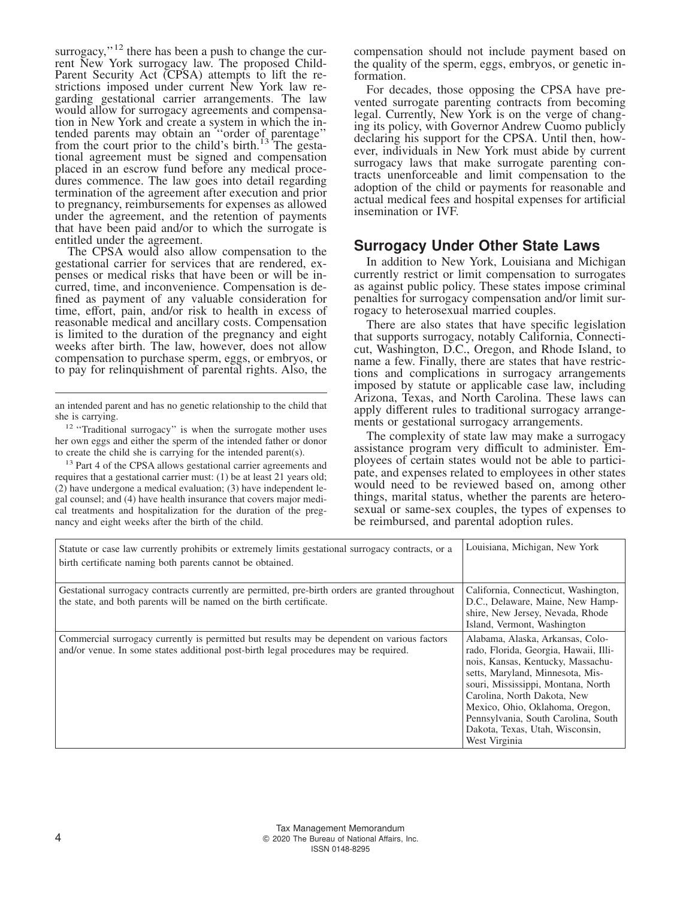surrogacy," $^{12}$  there has been a push to change the current New York surrogacy law. The proposed Child-Parent Security Act (CPSA) attempts to lift the restrictions imposed under current New York law regarding gestational carrier arrangements. The law would allow for surrogacy agreements and compensation in New York and create a system in which the intended parents may obtain an "order of parentage" from the court prior to the child's birth.<sup>13</sup> The gestational agreement must be signed and compensation placed in an escrow fund before any medical procedures commence. The law goes into detail regarding termination of the agreement after execution and prior to pregnancy, reimbursements for expenses as allowed under the agreement, and the retention of payments that have been paid and/or to which the surrogate is entitled under the agreement.

The CPSA would also allow compensation to the gestational carrier for services that are rendered, expenses or medical risks that have been or will be incurred, time, and inconvenience. Compensation is defined as payment of any valuable consideration for time, effort, pain, and/or risk to health in excess of reasonable medical and ancillary costs. Compensation is limited to the duration of the pregnancy and eight weeks after birth. The law, however, does not allow compensation to purchase sperm, eggs, or embryos, or to pay for relinquishment of parental rights. Also, the

an intended parent and has no genetic relationship to the child that she is carrying.

<sup>12</sup> "Traditional surrogacy" is when the surrogate mother uses her own eggs and either the sperm of the intended father or donor to create the child she is carrying for the intended parent(s).

<sup>13</sup> Part 4 of the CPSA allows gestational carrier agreements and requires that a gestational carrier must: (1) be at least 21 years old; (2) have undergone a medical evaluation; (3) have independent legal counsel; and (4) have health insurance that covers major medical treatments and hospitalization for the duration of the pregnancy and eight weeks after the birth of the child.

compensation should not include payment based on the quality of the sperm, eggs, embryos, or genetic information.

For decades, those opposing the CPSA have prevented surrogate parenting contracts from becoming legal. Currently, New York is on the verge of changing its policy, with Governor Andrew Cuomo publicly declaring his support for the CPSA. Until then, however, individuals in New York must abide by current surrogacy laws that make surrogate parenting contracts unenforceable and limit compensation to the adoption of the child or payments for reasonable and actual medical fees and hospital expenses for artificial insemination or IVF.

#### **Surrogacy Under Other State Laws**

In addition to New York, Louisiana and Michigan currently restrict or limit compensation to surrogates as against public policy. These states impose criminal penalties for surrogacy compensation and/or limit surrogacy to heterosexual married couples.

There are also states that have specific legislation that supports surrogacy, notably California, Connecticut, Washington, D.C., Oregon, and Rhode Island, to name a few. Finally, there are states that have restrictions and complications in surrogacy arrangements imposed by statute or applicable case law, including Arizona, Texas, and North Carolina. These laws can apply different rules to traditional surrogacy arrangements or gestational surrogacy arrangements.

The complexity of state law may make a surrogacy assistance program very difficult to administer. Employees of certain states would not be able to participate, and expenses related to employees in other states would need to be reviewed based on, among other things, marital status, whether the parents are heterosexual or same-sex couples, the types of expenses to be reimbursed, and parental adoption rules.

| Statute or case law currently prohibits or extremely limits gestational surrogacy contracts, or a<br>birth certificate naming both parents cannot be obtained.                      | Louisiana, Michigan, New York                                                                                                                                                                                                                                                                                                                         |
|-------------------------------------------------------------------------------------------------------------------------------------------------------------------------------------|-------------------------------------------------------------------------------------------------------------------------------------------------------------------------------------------------------------------------------------------------------------------------------------------------------------------------------------------------------|
| Gestational surrogacy contracts currently are permitted, pre-birth orders are granted throughout<br>the state, and both parents will be named on the birth certificate.             | California, Connecticut, Washington,<br>D.C., Delaware, Maine, New Hamp-<br>shire, New Jersey, Nevada, Rhode<br>Island, Vermont, Washington                                                                                                                                                                                                           |
| Commercial surrogacy currently is permitted but results may be dependent on various factors<br>and/or venue. In some states additional post-birth legal procedures may be required. | Alabama, Alaska, Arkansas, Colo-<br>rado, Florida, Georgia, Hawaii, Illi-<br>nois, Kansas, Kentucky, Massachu-<br>setts, Maryland, Minnesota, Mis-<br>souri, Mississippi, Montana, North<br>Carolina, North Dakota, New<br>Mexico, Ohio, Oklahoma, Oregon,<br>Pennsylvania, South Carolina, South<br>Dakota, Texas, Utah, Wisconsin,<br>West Virginia |